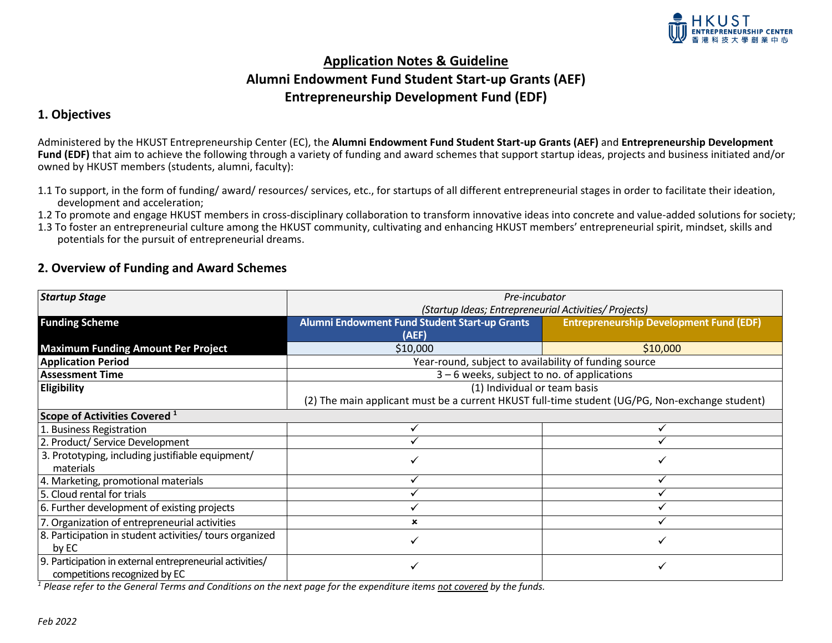

# **Application Notes & Guideline Alumni Endowment Fund Student Start-up Grants (AEF) Entrepreneurship Development Fund (EDF)**

#### **1. Objectives**

Administered by the HKUST Entrepreneurship Center (EC), the **Alumni Endowment Fund Student Start-up Grants (AEF)** and **Entrepreneurship Development Fund (EDF)** that aim to achieve the following through a variety of funding and award schemes that support startup ideas, projects and business initiated and/or owned by HKUST members (students, alumni, faculty):

- 1.1 To support, in the form of funding/ award/ resources/ services, etc., for startups of all different entrepreneurial stages in order to facilitate their ideation, development and acceleration;
- 1.2 To promote and engage HKUST members in cross-disciplinary collaboration to transform innovative ideas into concrete and value-added solutions for society;
- 1.3 To foster an entrepreneurial culture among the HKUST community, cultivating and enhancing HKUST members' entrepreneurial spirit, mindset, skills and potentials for the pursuit of entrepreneurial dreams.

### **2. Overview of Funding and Award Schemes**

| <b>Startup Stage</b>                                     | Pre-incubator                                                                                  |                                                |  |  |
|----------------------------------------------------------|------------------------------------------------------------------------------------------------|------------------------------------------------|--|--|
|                                                          | (Startup Ideas; Entrepreneurial Activities/ Projects)                                          |                                                |  |  |
| <b>Funding Scheme</b>                                    | Alumni Endowment Fund Student Start-up Grants                                                  | <b>Entrepreneurship Development Fund (EDF)</b> |  |  |
|                                                          | (AEF)                                                                                          |                                                |  |  |
| <b>Maximum Funding Amount Per Project</b>                | \$10,000                                                                                       | \$10,000                                       |  |  |
| <b>Application Period</b>                                | Year-round, subject to availability of funding source                                          |                                                |  |  |
| <b>Assessment Time</b>                                   | 3 - 6 weeks, subject to no. of applications                                                    |                                                |  |  |
| Eligibility                                              | (1) Individual or team basis                                                                   |                                                |  |  |
|                                                          | (2) The main applicant must be a current HKUST full-time student (UG/PG, Non-exchange student) |                                                |  |  |
| Scope of Activities Covered <sup>1</sup>                 |                                                                                                |                                                |  |  |
| 1. Business Registration                                 |                                                                                                |                                                |  |  |
| 2. Product/ Service Development                          |                                                                                                |                                                |  |  |
| 3. Prototyping, including justifiable equipment/         |                                                                                                |                                                |  |  |
| materials                                                |                                                                                                |                                                |  |  |
| 4. Marketing, promotional materials                      |                                                                                                |                                                |  |  |
| 5. Cloud rental for trials                               |                                                                                                |                                                |  |  |
| 6. Further development of existing projects              |                                                                                                |                                                |  |  |
| 7. Organization of entrepreneurial activities            | ×                                                                                              |                                                |  |  |
| 8. Participation in student activities/ tours organized  |                                                                                                |                                                |  |  |
| by EC                                                    |                                                                                                |                                                |  |  |
| 9. Participation in external entrepreneurial activities/ |                                                                                                |                                                |  |  |
| competitions recognized by EC                            |                                                                                                |                                                |  |  |

*<sup>1</sup> Please refer to the General Terms and Conditions on the next page for the expenditure items not covered by the funds.*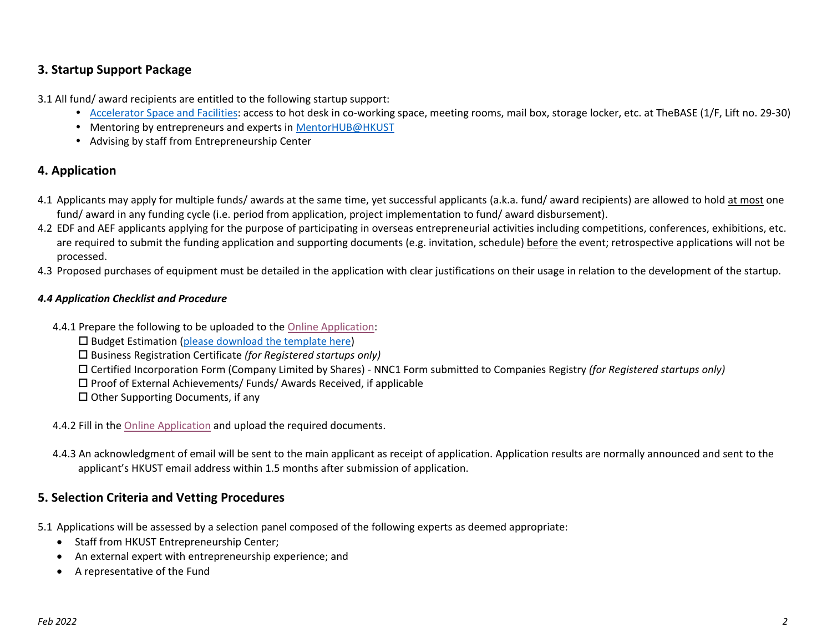### **3. Startup Support Package**

3.1 All fund/ award recipients are entitled to the following startup support:

- [Accelerator Space and Facilities:](https://ecenter.ust.hk/events/bases-facilities) access to hot desk in co-working space, meeting rooms, mail box, storage locker, etc. at TheBASE (1/F, Lift no. 29-30)
- Mentoring by entrepreneurs and experts i[n MentorHUB@HKUST](https://www.ec.ust.hk/mentorship/)
- Advising by staff from Entrepreneurship Center

# **4. Application**

- 4.1 Applicants may apply for multiple funds/ awards at the same time, yet successful applicants (a.k.a. fund/ award recipients) are allowed to hold at most one fund/ award in any funding cycle (i.e. period from application, project implementation to fund/ award disbursement).
- 4.2 EDF and AEF applicants applying for the purpose of participating in overseas entrepreneurial activities including competitions, conferences, exhibitions, etc. are required to submit the funding application and supporting documents (e.g. invitation, schedule) before the event; retrospective applications will not be processed.
- 4.3 Proposed purchases of equipment must be detailed in the application with clear justifications on their usage in relation to the development of the startup.

#### *4.4 Application Checklist and Procedure*

- 4.4.1 Prepare the following to be uploaded to the [Online Application:](https://ust.az1.qualtrics.com/jfe/form/SV_1yUDAstYbNe1ZI2)
	- $\square$  Budget Estimation [\(please download the template here\)](http://www.ec.ust.hk/sites/default/files/107/ecfund_budget.xlsx)
	- Business Registration Certificate *(for Registered startups only)*
	- Certified Incorporation Form (Company Limited by Shares) NNC1 Form submitted to Companies Registry *(for Registered startups only)*
	- $\square$  Proof of External Achievements/ Funds/ Awards Received, if applicable
	- $\square$  Other Supporting Documents, if any
- 4.4.2 Fill in the [Online Application](https://ust.az1.qualtrics.com/jfe/form/SV_1yUDAstYbNe1ZI2) and upload the required documents.
- 4.4.3 An acknowledgment of email will be sent to the main applicant as receipt of application. Application results are normally announced and sent to the applicant's HKUST email address within 1.5 months after submission of application.

### **5. Selection Criteria and Vetting Procedures**

- 5.1 Applications will be assessed by a selection panel composed of the following experts as deemed appropriate:
	- Staff from HKUST Entrepreneurship Center;
	- An external expert with entrepreneurship experience; and
	- A representative of the Fund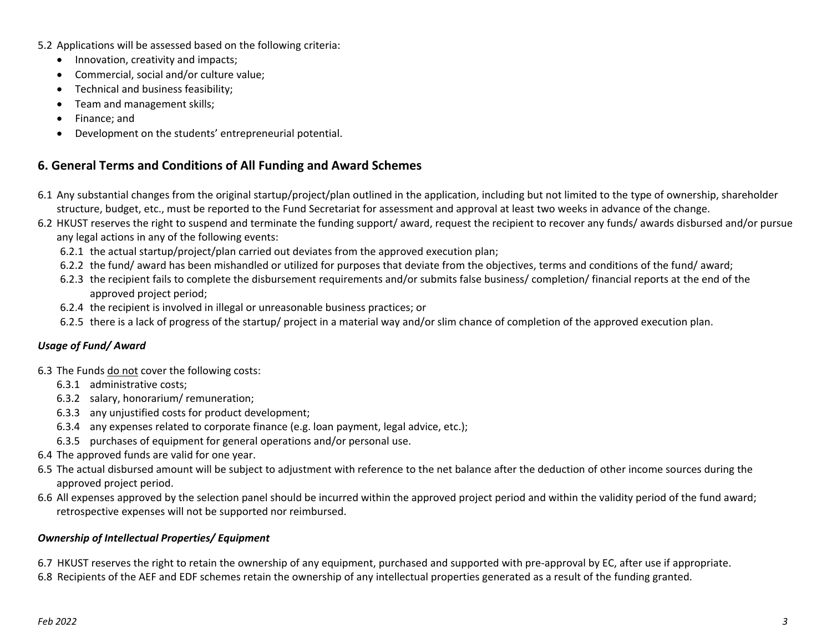- 5.2 Applications will be assessed based on the following criteria:
	- Innovation, creativity and impacts;
	- Commercial, social and/or culture value;
	- Technical and business feasibility;
	- Team and management skills;
	- Finance; and
	- Development on the students' entrepreneurial potential.

# **6. General Terms and Conditions of All Funding and Award Schemes**

- 6.1 Any substantial changes from the original startup/project/plan outlined in the application, including but not limited to the type of ownership, shareholder structure, budget, etc., must be reported to the Fund Secretariat for assessment and approval at least two weeks in advance of the change.
- 6.2 HKUST reserves the right to suspend and terminate the funding support/ award, request the recipient to recover any funds/ awards disbursed and/or pursue any legal actions in any of the following events:
	- 6.2.1 the actual startup/project/plan carried out deviates from the approved execution plan;
	- 6.2.2 the fund/ award has been mishandled or utilized for purposes that deviate from the objectives, terms and conditions of the fund/ award;
	- 6.2.3 the recipient fails to complete the disbursement requirements and/or submits false business/ completion/ financial reports at the end of the approved project period;
	- 6.2.4 the recipient is involved in illegal or unreasonable business practices; or
	- 6.2.5 there is a lack of progress of the startup/ project in a material way and/or slim chance of completion of the approved execution plan.

### *Usage of Fund/ Award*

- 6.3 The Funds do not cover the following costs:
	- 6.3.1 administrative costs;
	- 6.3.2 salary, honorarium/ remuneration;
	- 6.3.3 any unjustified costs for product development;
	- 6.3.4 any expenses related to corporate finance (e.g. loan payment, legal advice, etc.);
	- 6.3.5 purchases of equipment for general operations and/or personal use.
- 6.4 The approved funds are valid for one year.
- 6.5 The actual disbursed amount will be subject to adjustment with reference to the net balance after the deduction of other income sources during the approved project period.
- 6.6 All expenses approved by the selection panel should be incurred within the approved project period and within the validity period of the fund award; retrospective expenses will not be supported nor reimbursed.

#### *Ownership of Intellectual Properties/ Equipment*

6.7 HKUST reserves the right to retain the ownership of any equipment, purchased and supported with pre-approval by EC, after use if appropriate. 6.8 Recipients of the AEF and EDF schemes retain the ownership of any intellectual properties generated as a result of the funding granted.